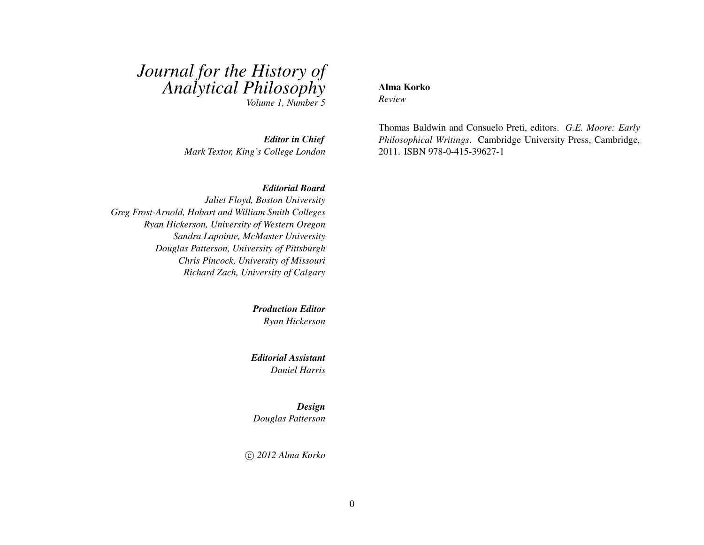# *Journal for the History of Analytical Philosophy*

*Volume 1, Number 5*

*Editor in Chief Mark Textor, King's College London*

#### *Editorial Board*

*Juliet Floyd, Boston University Greg Frost-Arnold, Hobart and William Smith Colleges Ryan Hickerson, University of Western Oregon Sandra Lapointe, McMaster University Douglas Patterson, University of Pittsburgh Chris Pincock, University of Missouri Richard Zach, University of Calgary*

> *Production Editor Ryan Hickerson*

*Editorial Assistant Daniel Harris*

*Design Douglas Patterson*

c *2012 Alma Korko*

#### Alma Korko

*Review*

<span id="page-0-0"></span>Thomas Baldwin and Consuelo Preti, editors. *G.E. Moore: Early Philosophical Writings*. Cambridge University Press, Cambridge, 2011. ISBN 978-0-415-39627-1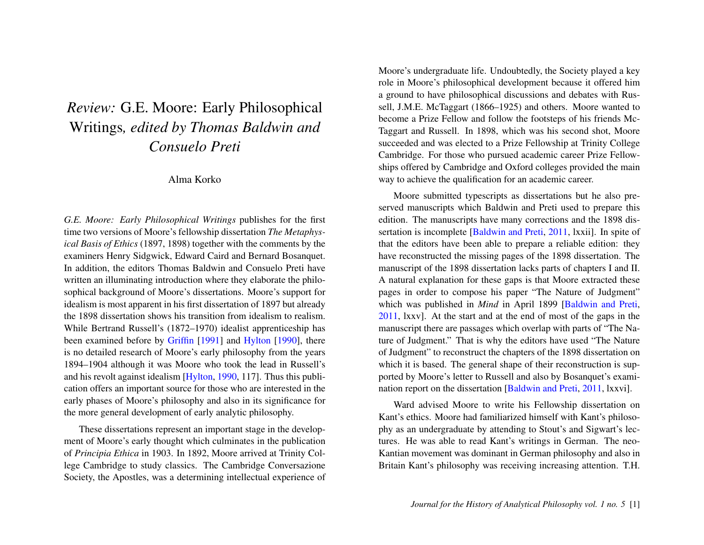## *Review:* G.E. Moore: Early Philosophical Writings*, edited by Thomas Baldwin and Consuelo Preti*

Alma Korko

*G.E. Moore: Early Philosophical Writings* publishes for the first time two versions of Moore's fellowship dissertation *The Metaphysical Basis of Ethics* (1897, 1898) together with the comments by the examiners Henry Sidgwick, Edward Caird and Bernard Bosanquet. In addition, the editors Thomas Baldwin and Consuelo Preti have written an illuminating introduction where they elaborate the philosophical background of Moore's dissertations. Moore's support for idealism is most apparent in his first dissertation of 1897 but already the 1898 dissertation shows his transition from idealism to realism. While Bertrand Russell's (1872–1970) idealist apprenticeship has been examined before by [Griffin](#page-3-0) [\[1991\]](#page-3-0) and [Hylton](#page-3-1) [\[1990\]](#page-3-1), there is no detailed research of Moore's early philosophy from the years 1894–1904 although it was Moore who took the lead in Russell's and his revolt against idealism [\[Hylton,](#page-3-1) [1990,](#page-3-1) 117]. Thus this publication offers an important source for those who are interested in the early phases of Moore's philosophy and also in its significance for the more general development of early analytic philosophy.

These dissertations represent an important stage in the development of Moore's early thought which culminates in the publication of *Principia Ethica* in 1903. In 1892, Moore arrived at Trinity College Cambridge to study classics. The Cambridge Conversazione Society, the Apostles, was a determining intellectual experience of Moore's undergraduate life. Undoubtedly, the Society played a key role in Moore's philosophical development because it offered him a ground to have philosophical discussions and debates with Russell, J.M.E. McTaggart (1866–1925) and others. Moore wanted to become a Prize Fellow and follow the footsteps of his friends Mc-Taggart and Russell. In 1898, which was his second shot, Moore succeeded and was elected to a Prize Fellowship at Trinity College Cambridge. For those who pursued academic career Prize Fellowships offered by Cambridge and Oxford colleges provided the main way to achieve the qualification for an academic career.

Moore submitted typescripts as dissertations but he also preserved manuscripts which Baldwin and Preti used to prepare this edition. The manuscripts have many corrections and the 1898 dissertation is incomplete [\[Baldwin and Preti,](#page-0-0) [2011,](#page-0-0) lxxii]. In spite of that the editors have been able to prepare a reliable edition: they have reconstructed the missing pages of the 1898 dissertation. The manuscript of the 1898 dissertation lacks parts of chapters I and II. A natural explanation for these gaps is that Moore extracted these pages in order to compose his paper "The Nature of Judgment" which was published in *Mind* in April 1899 [\[Baldwin and Preti,](#page-0-0) [2011,](#page-0-0) lxxv]. At the start and at the end of most of the gaps in the manuscript there are passages which overlap with parts of "The Nature of Judgment." That is why the editors have used "The Nature of Judgment" to reconstruct the chapters of the 1898 dissertation on which it is based. The general shape of their reconstruction is supported by Moore's letter to Russell and also by Bosanquet's examination report on the dissertation [\[Baldwin and Preti,](#page-0-0) [2011,](#page-0-0) lxxvi].

Ward advised Moore to write his Fellowship dissertation on Kant's ethics. Moore had familiarized himself with Kant's philosophy as an undergraduate by attending to Stout's and Sigwart's lectures. He was able to read Kant's writings in German. The neo-Kantian movement was dominant in German philosophy and also in Britain Kant's philosophy was receiving increasing attention. T.H.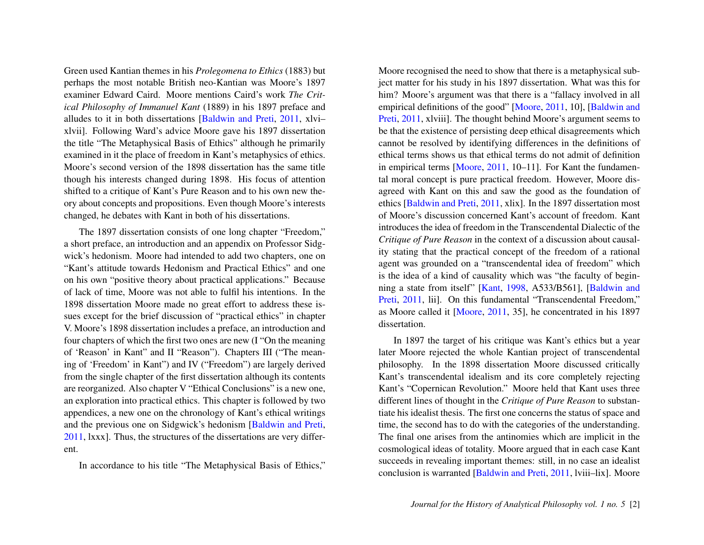Green used Kantian themes in his *Prolegomena to Ethics* (1883) but perhaps the most notable British neo-Kantian was Moore's 1897 examiner Edward Caird. Moore mentions Caird's work *The Critical Philosophy of Immanuel Kant* (1889) in his 1897 preface and alludes to it in both dissertations [\[Baldwin and Preti,](#page-0-0) [2011,](#page-0-0) xlvi– xlvii]. Following Ward's advice Moore gave his 1897 dissertation the title "The Metaphysical Basis of Ethics" although he primarily examined in it the place of freedom in Kant's metaphysics of ethics. Moore's second version of the 1898 dissertation has the same title though his interests changed during 1898. His focus of attention shifted to a critique of Kant's Pure Reason and to his own new theory about concepts and propositions. Even though Moore's interests changed, he debates with Kant in both of his dissertations.

The 1897 dissertation consists of one long chapter "Freedom," a short preface, an introduction and an appendix on Professor Sidgwick's hedonism. Moore had intended to add two chapters, one on "Kant's attitude towards Hedonism and Practical Ethics" and one on his own "positive theory about practical applications." Because of lack of time, Moore was not able to fulfil his intentions. In the 1898 dissertation Moore made no great effort to address these issues except for the brief discussion of "practical ethics" in chapter V. Moore's 1898 dissertation includes a preface, an introduction and four chapters of which the first two ones are new (I "On the meaning of 'Reason' in Kant" and II "Reason"). Chapters III ("The meaning of 'Freedom' in Kant") and IV ("Freedom") are largely derived from the single chapter of the first dissertation although its contents are reorganized. Also chapter V "Ethical Conclusions" is a new one, an exploration into practical ethics. This chapter is followed by two appendices, a new one on the chronology of Kant's ethical writings and the previous one on Sidgwick's hedonism [\[Baldwin and Preti,](#page-0-0) [2011,](#page-0-0) lxxx]. Thus, the structures of the dissertations are very different.

In accordance to his title "The Metaphysical Basis of Ethics,"

Moore recognised the need to show that there is a metaphysical subject matter for his study in his 1897 dissertation. What was this for him? Moore's argument was that there is a "fallacy involved in all empirical definitions of the good" [\[Moore,](#page-3-2) [2011,](#page-3-2) 10], [\[Baldwin and](#page-0-0) [Preti,](#page-0-0) [2011,](#page-0-0) xlviii]. The thought behind Moore's argument seems to be that the existence of persisting deep ethical disagreements which cannot be resolved by identifying differences in the definitions of ethical terms shows us that ethical terms do not admit of definition in empirical terms [\[Moore,](#page-3-2) [2011,](#page-3-2) 10–11]. For Kant the fundamental moral concept is pure practical freedom. However, Moore disagreed with Kant on this and saw the good as the foundation of ethics [\[Baldwin and Preti,](#page-0-0) [2011,](#page-0-0) xlix]. In the 1897 dissertation most of Moore's discussion concerned Kant's account of freedom. Kant introduces the idea of freedom in the Transcendental Dialectic of the *Critique of Pure Reason* in the context of a discussion about causality stating that the practical concept of the freedom of a rational agent was grounded on a "transcendental idea of freedom" which is the idea of a kind of causality which was "the faculty of beginning a state from itself" [\[Kant,](#page-3-3) [1998,](#page-3-3) A533/B561], [\[Baldwin and](#page-0-0) [Preti,](#page-0-0) [2011,](#page-0-0) lii]. On this fundamental "Transcendental Freedom," as Moore called it [\[Moore,](#page-3-2) [2011,](#page-3-2) 35], he concentrated in his 1897 dissertation.

In 1897 the target of his critique was Kant's ethics but a year later Moore rejected the whole Kantian project of transcendental philosophy. In the 1898 dissertation Moore discussed critically Kant's transcendental idealism and its core completely rejecting Kant's "Copernican Revolution." Moore held that Kant uses three different lines of thought in the *Critique of Pure Reason* to substantiate his idealist thesis. The first one concerns the status of space and time, the second has to do with the categories of the understanding. The final one arises from the antinomies which are implicit in the cosmological ideas of totality. Moore argued that in each case Kant succeeds in revealing important themes: still, in no case an idealist conclusion is warranted [\[Baldwin and Preti,](#page-0-0) [2011,](#page-0-0) lviii–lix]. Moore